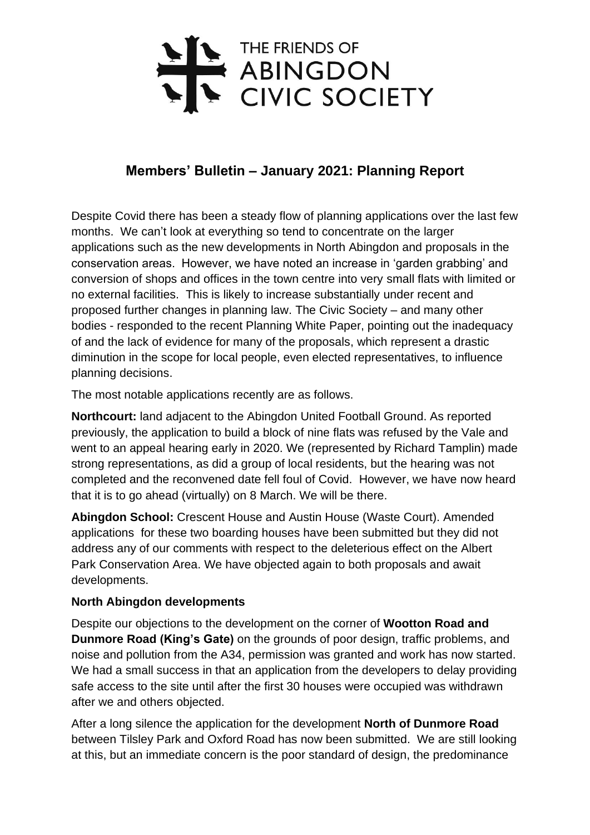# THE FRIENDS OF<br>ABINGDON<br>CIVIC SOCIETY

# **Members' Bulletin – January 2021: Planning Report**

Despite Covid there has been a steady flow of planning applications over the last few months. We can't look at everything so tend to concentrate on the larger applications such as the new developments in North Abingdon and proposals in the conservation areas. However, we have noted an increase in 'garden grabbing' and conversion of shops and offices in the town centre into very small flats with limited or no external facilities. This is likely to increase substantially under recent and proposed further changes in planning law. The Civic Society – and many other bodies - responded to the recent Planning White Paper, pointing out the inadequacy of and the lack of evidence for many of the proposals, which represent a drastic diminution in the scope for local people, even elected representatives, to influence planning decisions.

The most notable applications recently are as follows.

**Northcourt:** land adjacent to the Abingdon United Football Ground. As reported previously, the application to build a block of nine flats was refused by the Vale and went to an appeal hearing early in 2020. We (represented by Richard Tamplin) made strong representations, as did a group of local residents, but the hearing was not completed and the reconvened date fell foul of Covid. However, we have now heard that it is to go ahead (virtually) on 8 March. We will be there.

**Abingdon School:** Crescent House and Austin House (Waste Court). Amended applications for these two boarding houses have been submitted but they did not address any of our comments with respect to the deleterious effect on the Albert Park Conservation Area. We have objected again to both proposals and await developments.

### **North Abingdon developments**

Despite our objections to the development on the corner of **Wootton Road and Dunmore Road (King's Gate)** on the grounds of poor design, traffic problems, and noise and pollution from the A34, permission was granted and work has now started. We had a small success in that an application from the developers to delay providing safe access to the site until after the first 30 houses were occupied was withdrawn after we and others objected.

After a long silence the application for the development **North of Dunmore Road** between Tilsley Park and Oxford Road has now been submitted. We are still looking at this, but an immediate concern is the poor standard of design, the predominance